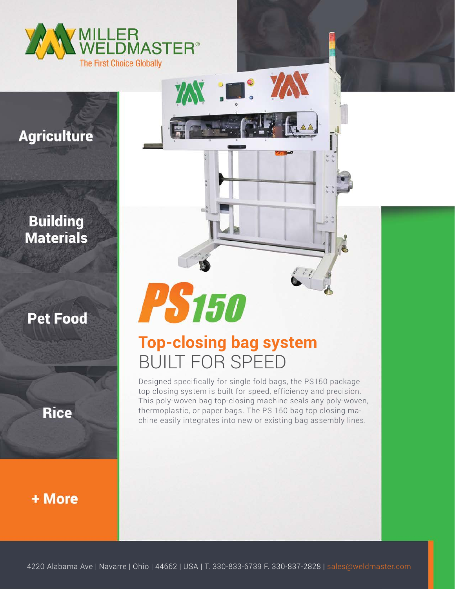

**Agriculture** 

### **Building Materials**

**Pet Food** 

**Rice** 

+ More

# PS150

# **Top-closing bag system** BUILT FOR SPEED

XXX : D. XXX

Designed specifically for single fold bags, the PS150 package top closing system is built for speed, efficiency and precision. This poly-woven bag top-closing machine seals any poly-woven, thermoplastic, or paper bags. The PS 150 bag top closing machine easily integrates into new or existing bag assembly lines.